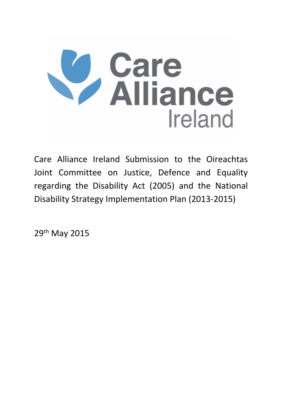

Care Alliance Ireland Submission to the Oireachtas Joint Committee on Justice, Defence and Equality regarding the Disability Act (2005) and the National Disability Strategy Implementation Plan (2013-2015)

29th May 2015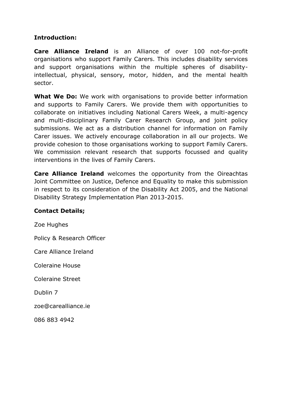## **Introduction:**

**Care Alliance Ireland** is an Alliance of over 100 not-for-profit organisations who support Family Carers. This includes disability services and support organisations within the multiple spheres of disabilityintellectual, physical, sensory, motor, hidden, and the mental health sector.

**What We Do:** We work with organisations to provide better information and supports to Family Carers. We provide them with opportunities to collaborate on initiatives including National Carers Week, a multi-agency and multi-disciplinary Family Carer Research Group, and joint policy submissions. We act as a distribution channel for information on Family Carer issues. We actively encourage collaboration in all our projects. We provide cohesion to those organisations working to support Family Carers. We commission relevant research that supports focussed and quality interventions in the lives of Family Carers.

**Care Alliance Ireland** welcomes the opportunity from the Oireachtas Joint Committee on Justice, Defence and Equality to make this submission in respect to its consideration of the Disability Act 2005, and the National Disability Strategy Implementation Plan 2013-2015.

#### **Contact Details;**

Zoe Hughes

Policy & Research Officer

Care Alliance Ireland

Coleraine House

Coleraine Street

Dublin 7

zoe@carealliance.ie

086 883 4942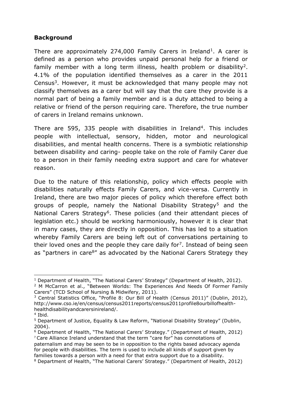#### **Background**

There are approximately 274,000 Family Carers in Ireland<sup>1</sup>. A carer is defined as a person who provides unpaid personal help for a friend or family member with a long term illness, health problem or disability<sup>2</sup>. 4.1% of the population identified themselves as a carer in the 2011 Census<sup>3</sup>. However, it must be acknowledged that many people may not classify themselves as a carer but will say that the care they provide is a normal part of being a family member and is a duty attached to being a relative or friend of the person requiring care. Therefore, the true number of carers in Ireland remains unknown.

There are 595, 335 people with disabilities in Ireland<sup>4</sup>. This includes people with intellectual, sensory, hidden, motor and neurological disabilities, and mental health concerns. There is a symbiotic relationship between disability and caring- people take on the role of Family Carer due to a person in their family needing extra support and care for whatever reason.

Due to the nature of this relationship, policy which effects people with disabilities naturally effects Family Carers, and vice-versa. Currently in Ireland, there are two major pieces of policy which therefore effect both groups of people, namely the National Disability Strategy<sup>5</sup> and the National Carers Strategy<sup>6</sup>. These policies (and their attendant pieces of legislation etc.) should be working harmoniously, however it is clear that in many cases, they are directly in opposition. This has led to a situation whereby Family Carers are being left out of conversations pertaining to their loved ones and the people they care daily for<sup>7</sup>. Instead of being seen as "partners in care<sup>8"</sup> as advocated by the National Carers Strategy they

 $\overline{a}$ <sup>1</sup> Department of Health, "The National Carers' Strategy" (Department of Health, 2012).

<sup>&</sup>lt;sup>2</sup> M McCarron et al., "Between Worlds: The Experiences And Needs Of Former Family Carers" (TCD School of Nursing & Midwifery, 2011).

<sup>&</sup>lt;sup>3</sup> Central Statistics Office, "Profile 8: Our Bill of Health (Census 2011)" (Dublin, 2012), http://www.cso.ie/en/census/census2011reports/census2011profile8ourbillofhealthhealthdisabilityandcarersinireland/.

<sup>4</sup> Ibid.

<sup>5</sup> Department of Justice, Equality & Law Reform, "National Disability Strategy" (Dublin, 2004).

<sup>6</sup> Department of Health, "The National Carers' Strategy." (Department of Health, 2012) <sup>7</sup> Care Alliance Ireland understand that the term "care for" has connotations of paternalism and may be seen to be in opposition to the rights based advocacy agenda for people with disabilities. The term is used to include all kinds of support given by families towards a person with a need for that extra support due to a disability. <sup>8</sup> Department of Health, "The National Carers' Strategy." (Department of Health, 2012)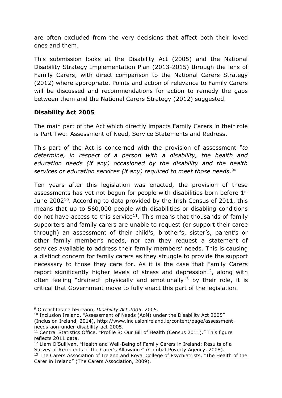are often excluded from the very decisions that affect both their loved ones and them.

This submission looks at the Disability Act (2005) and the National Disability Strategy Implementation Plan (2013-2015) through the lens of Family Carers, with direct comparison to the National Carers Strategy (2012) where appropriate. Points and action of relevance to Family Carers will be discussed and recommendations for action to remedy the gaps between them and the National Carers Strategy (2012) suggested.

#### **Disability Act 2005**

The main part of the Act which directly impacts Family Carers in their role is Part Two: Assessment of Need, Service Statements and Redress.

This part of the Act is concerned with the provision of assessment *"to determine, in respect of a person with a disability, the health and education needs (if any) occasioned by the disability and the health services or education services (if any) required to meet those needs. <sup>9</sup>*"

Ten years after this legislation was enacted, the provision of these assessments has yet not begun for people with disabilities born before 1<sup>st</sup> June 2002<sup>10</sup>. According to data provided by the Irish Census of 2011, this means that up to 560,000 people with disabilities or disabling conditions do not have access to this service<sup>11</sup>. This means that thousands of family supporters and family carers are unable to request (or support their caree through) an assessment of their child's, brother's, sister's, parent's or other family member's needs, nor can they request a statement of services available to address their family members' needs. This is causing a distinct concern for family carers as they struggle to provide the support necessary to those they care for. As it is the case that Family Carers report significantly higher levels of stress and depression<sup>12</sup>, along with often feeling "drained" physically and emotionally<sup>13</sup> by their role, it is critical that Government move to fully enact this part of the legislation.

**<sup>.</sup>** <sup>9</sup> Oireachtas na hEireann, *Disability Act 2005*, 2005.

<sup>&</sup>lt;sup>10</sup> Inclusion Ireland, "Assessment of Needs (AoN) under the Disability Act 2005" (Inclusion Ireland, 2014), http://www.inclusionireland.ie/content/page/assessmentneeds-aon-under-disability-act-2005.

<sup>&</sup>lt;sup>11</sup> Central Statistics Office, "Profile 8: Our Bill of Health (Census 2011)." This figure reflects 2011 data.

<sup>12</sup> Liam O'Sullivan, "Health and Well-Being of Family Carers in Ireland: Results of a Survey of Recipients of the Carer's Allowance" (Combat Poverty Agency, 2008).

<sup>&</sup>lt;sup>13</sup> The Carers Association of Ireland and Royal College of Psychiatrists, "The Health of the Carer in Ireland" (The Carers Association, 2009).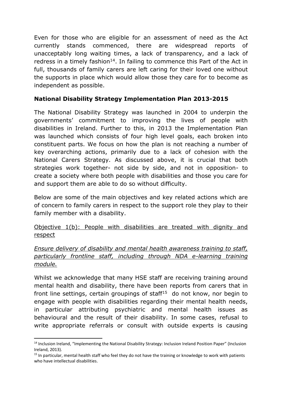Even for those who are eligible for an assessment of need as the Act currently stands commenced, there are widespread reports of unacceptably long waiting times, a lack of transparency, and a lack of redress in a timely fashion<sup>14</sup>. In failing to commence this Part of the Act in full, thousands of family carers are left caring for their loved one without the supports in place which would allow those they care for to become as independent as possible.

## **National Disability Strategy Implementation Plan 2013-2015**

The National Disability Strategy was launched in 2004 to underpin the governments' commitment to improving the lives of people with disabilities in Ireland. Further to this, in 2013 the Implementation Plan was launched which consists of four high level goals, each broken into constituent parts. We focus on how the plan is not reaching a number of key overarching actions, primarily due to a lack of cohesion with the National Carers Strategy. As discussed above, it is crucial that both strategies work together- not side by side, and not in opposition- to create a society where both people with disabilities and those you care for and support them are able to do so without difficulty.

Below are some of the main objectives and key related actions which are of concern to family carers in respect to the support role they play to their family member with a disability.

Objective 1(b): People with disabilities are treated with dignity and respect

## *Ensure delivery of disability and mental health awareness training to staff, particularly frontline staff, including through NDA e-learning training module.*

Whilst we acknowledge that many HSE staff are receiving training around mental health and disability, there have been reports from carers that in front line settings, certain groupings of staff<sup>15</sup> do not know, nor begin to engage with people with disabilities regarding their mental health needs, in particular attributing psychiatric and mental health issues as behavioural and the result of their disability. In some cases, refusal to write appropriate referrals or consult with outside experts is causing

**.** 

<sup>14</sup> Inclusion Ireland, "Implementing the National Disability Strategy: Inclusion Ireland Position Paper" (Inclusion Ireland, 2013).

<sup>&</sup>lt;sup>15</sup> In particular, mental health staff who feel they do not have the training or knowledge to work with patients who have intellectual disabilities.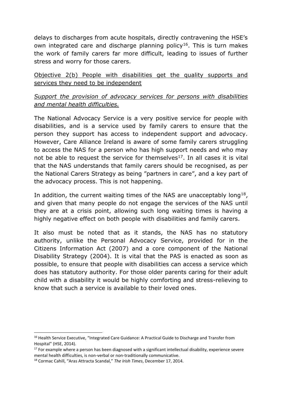delays to discharges from acute hospitals, directly contravening the HSE's own integrated care and discharge planning policy<sup>16</sup>. This is turn makes the work of family carers far more difficult, leading to issues of further stress and worry for those carers.

Objective 2(b) People with disabilities get the quality supports and services they need to be independent

# *Support the provision of advocacy services for persons with disabilities and mental health difficulties.*

The National Advocacy Service is a very positive service for people with disabilities, and is a service used by family carers to ensure that the person they support has access to independent support and advocacy. However, Care Alliance Ireland is aware of some family carers struggling to access the NAS for a person who has high support needs and who may not be able to request the service for themselves<sup>17</sup>. In all cases it is vital that the NAS understands that family carers should be recognised, as per the National Carers Strategy as being "partners in care", and a key part of the advocacy process. This is not happening.

In addition, the current waiting times of the NAS are unacceptably long<sup>18</sup>, and given that many people do not engage the services of the NAS until they are at a crisis point, allowing such long waiting times is having a highly negative effect on both people with disabilities and family carers.

It also must be noted that as it stands, the NAS has no statutory authority, unlike the Personal Advocacy Service, provided for in the Citizens Information Act (2007) and a core component of the National Disability Strategy (2004). It is vital that the PAS is enacted as soon as possible, to ensure that people with disabilities can access a service which does has statutory authority. For those older parents caring for their adult child with a disability it would be highly comforting and stress-relieving to know that such a service is available to their loved ones.

 $\overline{a}$ 

<sup>&</sup>lt;sup>16</sup> Health Service Executive, "Integrated Care Guidance: A Practical Guide to Discharge and Transfer from Hospital" (HSE, 2014).

 $17$  For example where a person has been diagnosed with a significant intellectual disability, experience severe mental health difficulties, is non-verbal or non-traditionally communicative.

<sup>18</sup> Cormac Cahill, "Aras Attracta Scandal," *The Irish Times*, December 17, 2014.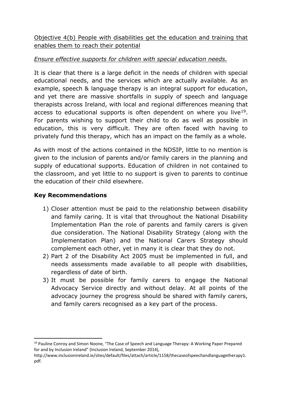Objective 4(b) People with disabilities get the education and training that enables them to reach their potential

# *Ensure effective supports for children with special education needs.*

It is clear that there is a large deficit in the needs of children with special educational needs, and the services which are actually available. As an example, speech & language therapy is an integral support for education, and yet there are massive shortfalls in supply of speech and language therapists across Ireland, with local and regional differences meaning that access to educational supports is often dependent on where you live<sup>19</sup>. For parents wishing to support their child to do as well as possible in education, this is very difficult. They are often faced with having to privately fund this therapy, which has an impact on the family as a whole.

As with most of the actions contained in the NDSIP, little to no mention is given to the inclusion of parents and/or family carers in the planning and supply of educational supports. Education of children in not contained to the classroom, and yet little to no support is given to parents to continue the education of their child elsewhere.

## **Key Recommendations**

**.** 

- 1) Closer attention must be paid to the relationship between disability and family caring. It is vital that throughout the National Disability Implementation Plan the role of parents and family carers is given due consideration. The National Disability Strategy (along with the Implementation Plan) and the National Carers Strategy should complement each other, yet in many it is clear that they do not.
- 2) Part 2 of the Disability Act 2005 must be implemented in full, and needs assessments made available to all people with disabilities, regardless of date of birth.
- 3) It must be possible for family carers to engage the National Advocacy Service directly and without delay. At all points of the advocacy journey the progress should be shared with family carers, and family carers recognised as a key part of the process.

<sup>&</sup>lt;sup>19</sup> Pauline Conroy and Simon Noone, "The Case of Speech and Language Therapy: A Working Paper Prepared for and by Inclusion Ireland" (Inclusion Ireland, September 2014),

http://www.inclusionireland.ie/sites/default/files/attach/article/1158/thecaseofspeechandlanguagetherapy1. pdf.